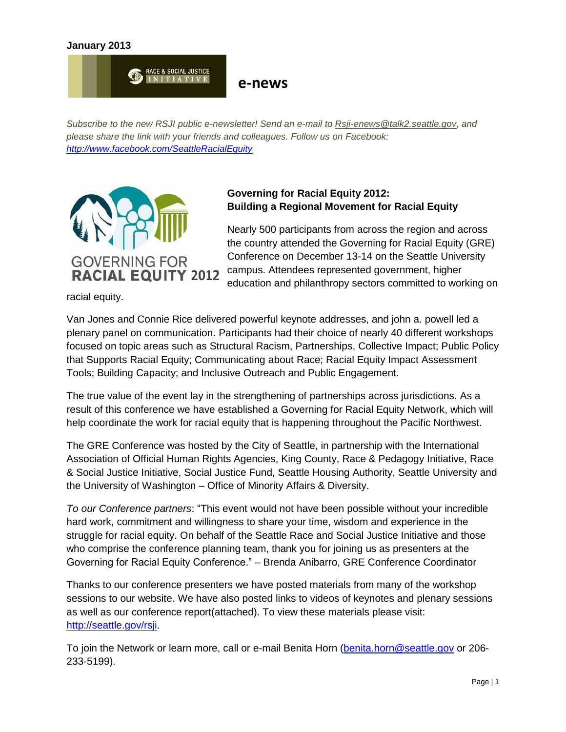#### **January 2013**



### **e-news**

*Subscribe to the new RSJI public e-newsletter! Send an e-mail to [Rsji-enews@talk2.seattle.gov,](mailto:Rsji-enews@talk2.seattle.gov) and please share the link with your friends and colleagues. Follow us on Facebook: <http://www.facebook.com/SeattleRacialEquity>*



### **Governing for Racial Equity 2012: Building a Regional Movement for Racial Equity**

Nearly 500 participants from across the region and across the country attended the Governing for Racial Equity (GRE) Conference on December 13-14 on the Seattle University campus. Attendees represented government, higher education and philanthropy sectors committed to working on

racial equity.

Van Jones and Connie Rice delivered powerful keynote addresses, and john a. powell led a plenary panel on communication. Participants had their choice of nearly 40 different workshops focused on topic areas such as Structural Racism, Partnerships, Collective Impact; Public Policy that Supports Racial Equity; Communicating about Race; Racial Equity Impact Assessment Tools; Building Capacity; and Inclusive Outreach and Public Engagement.

The true value of the event lay in the strengthening of partnerships across jurisdictions. As a result of this conference we have established a Governing for Racial Equity Network, which will help coordinate the work for racial equity that is happening throughout the Pacific Northwest.

The GRE Conference was hosted by the City of Seattle, in partnership with the International Association of Official Human Rights Agencies, King County, Race & Pedagogy Initiative, Race & Social Justice Initiative, Social Justice Fund, Seattle Housing Authority, Seattle University and the University of Washington – Office of Minority Affairs & Diversity.

*To our Conference partners*: "This event would not have been possible without your incredible hard work, commitment and willingness to share your time, wisdom and experience in the struggle for racial equity. On behalf of the Seattle Race and Social Justice Initiative and those who comprise the conference planning team, thank you for joining us as presenters at the Governing for Racial Equity Conference." – Brenda Anibarro, GRE Conference Coordinator

Thanks to our conference presenters we have posted materials from many of the workshop sessions to our website. We have also posted links to videos of keynotes and plenary sessions as well as our conference report(attached). To view these materials please visit: [http://seattle.gov/rsji.](http://seattle.gov/rsji)

To join the Network or learn more, call or e-mail Benita Horn [\(benita.horn@seattle.gov](mailto:benita.horn@seattle.gov) or 206- 233-5199).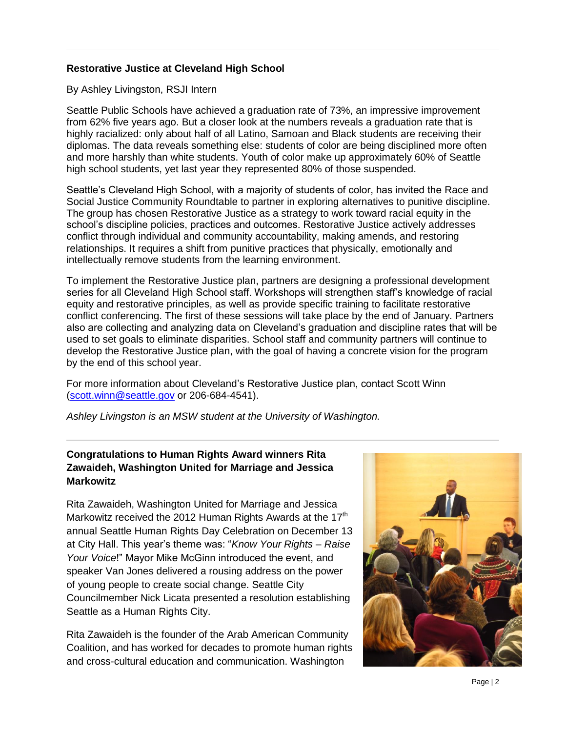### **Restorative Justice at Cleveland High School**

By Ashley Livingston, RSJI Intern

Seattle Public Schools have achieved a graduation rate of 73%, an impressive improvement from 62% five years ago. But a closer look at the numbers reveals a graduation rate that is highly racialized: only about half of all Latino, Samoan and Black students are receiving their diplomas. The data reveals something else: students of color are being disciplined more often and more harshly than white students. Youth of color make up approximately 60% of Seattle high school students, yet last year they represented 80% of those suspended.

Seattle's Cleveland High School, with a majority of students of color, has invited the Race and Social Justice Community Roundtable to partner in exploring alternatives to punitive discipline. The group has chosen Restorative Justice as a strategy to work toward racial equity in the school's discipline policies, practices and outcomes. Restorative Justice actively addresses conflict through individual and community accountability, making amends, and restoring relationships. It requires a shift from punitive practices that physically, emotionally and intellectually remove students from the learning environment.

To implement the Restorative Justice plan, partners are designing a professional development series for all Cleveland High School staff. Workshops will strengthen staff's knowledge of racial equity and restorative principles, as well as provide specific training to facilitate restorative conflict conferencing. The first of these sessions will take place by the end of January. Partners also are collecting and analyzing data on Cleveland's graduation and discipline rates that will be used to set goals to eliminate disparities. School staff and community partners will continue to develop the Restorative Justice plan, with the goal of having a concrete vision for the program by the end of this school year.

For more information about Cleveland's Restorative Justice plan, contact Scott Winn [\(scott.winn@seattle.gov](mailto:scott.winn@seattle.gov) or 206-684-4541).

*Ashley Livingston is an MSW student at the University of Washington.*

## **Congratulations to Human Rights Award winners Rita Zawaideh, Washington United for Marriage and Jessica Markowitz**

Rita Zawaideh, Washington United for Marriage and Jessica Markowitz received the 2012 Human Rights Awards at the 17<sup>th</sup> annual Seattle Human Rights Day Celebration on December 13 at City Hall. This year's theme was: "*Know Your Rights – Raise Your Voice*!" Mayor Mike McGinn introduced the event, and speaker Van Jones delivered a rousing address on the power of young people to create social change. Seattle City Councilmember Nick Licata presented a resolution establishing Seattle as a Human Rights City.

Rita Zawaideh is the founder of the Arab American Community Coalition, and has worked for decades to promote human rights and cross-cultural education and communication. Washington

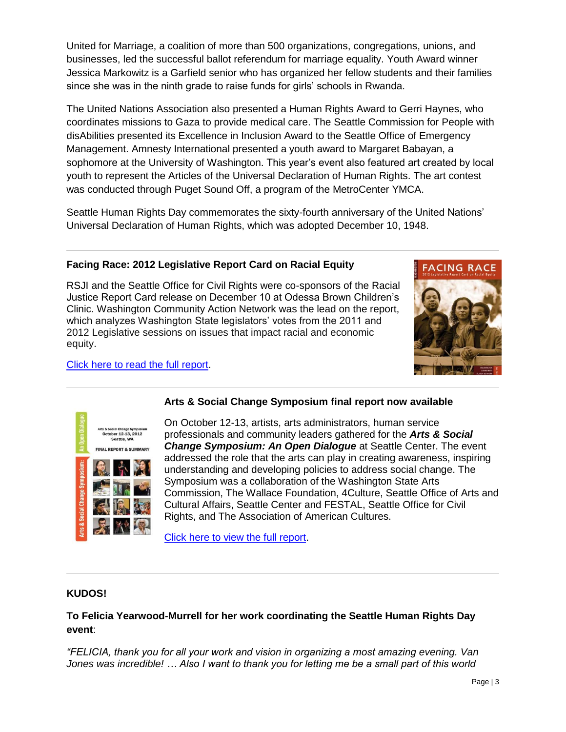United for Marriage, a coalition of more than 500 organizations, congregations, unions, and businesses, led the successful ballot referendum for marriage equality. Youth Award winner Jessica Markowitz is a Garfield senior who has organized her fellow students and their families since she was in the ninth grade to raise funds for girls' schools in Rwanda.

The United Nations Association also presented a Human Rights Award to Gerri Haynes, who coordinates missions to Gaza to provide medical care. The Seattle Commission for People with disAbilities presented its Excellence in Inclusion Award to the Seattle Office of Emergency Management. Amnesty International presented a youth award to Margaret Babayan, a sophomore at the University of Washington. This year's event also featured art created by local youth to represent the Articles of the Universal Declaration of Human Rights. The art contest was conducted through Puget Sound Off, a program of the MetroCenter YMCA.

Seattle Human Rights Day commemorates the sixty-fourth anniversary of the United Nations' Universal Declaration of Human Rights, which was adopted December 10, 1948.

### **Facing Race: 2012 Legislative Report Card on Racial Equity**

RSJI and the Seattle Office for Civil Rights were co-sponsors of the Racial Justice Report Card release on December 10 at Odessa Brown Children's Clinic. Washington Community Action Network was the lead on the report, which analyzes Washington State legislators' votes from the 2011 and 2012 Legislative sessions on issues that impact racial and economic equity.



[Click here to read the full report.](http://washingtoncan.org/wordpress/reports/)



# **Arts & Social Change Symposium final report now available**

On October 12-13, artists, arts administrators, human service professionals and community leaders gathered for the *Arts & Social Change Symposium: An Open Dialogue* at Seattle Center. The event addressed the role that the arts can play in creating awareness, inspiring understanding and developing policies to address social change. The Symposium was a collaboration of the Washington State Arts Commission, The Wallace Foundation, 4Culture, Seattle Office of Arts and Cultural Affairs, Seattle Center and FESTAL, Seattle Office for Civil Rights, and The Association of American Cultures.

[Click here to view the full report.](http://www.artandsocialchange.org/News.html)

### **KUDOS!**

**To Felicia Yearwood-Murrell for her work coordinating the Seattle Human Rights Day event**:

*"FELICIA, thank you for all your work and vision in organizing a most amazing evening. Van Jones was incredible! … Also I want to thank you for letting me be a small part of this world*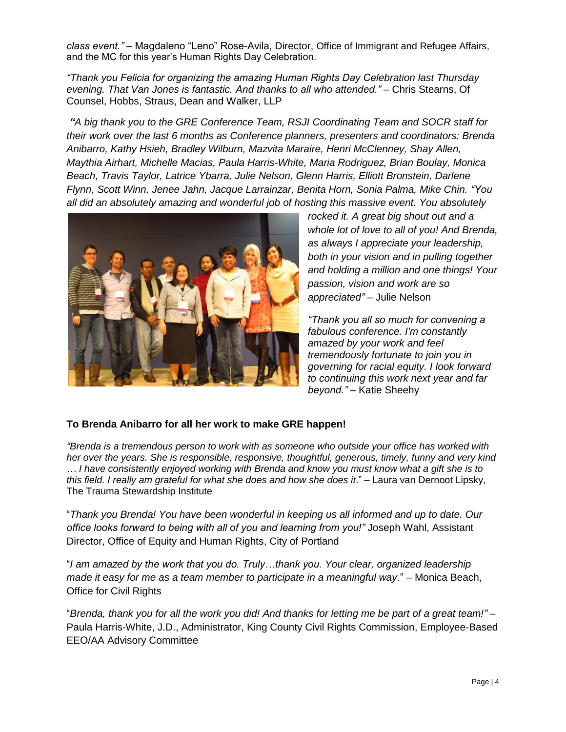*class event."* – Magdaleno "Leno" Rose-Avila, Director, Office of Immigrant and Refugee Affairs, and the MC for this year's Human Rights Day Celebration.

*"Thank you Felicia for organizing the amazing Human Rights Day Celebration last Thursday evening. That Van Jones is fantastic. And thanks to all who attended."* – Chris Stearns, Of Counsel, Hobbs, Straus, Dean and Walker, LLP

*"A big thank you to the GRE Conference Team, RSJI Coordinating Team and SOCR staff for their work over the last 6 months as Conference planners, presenters and coordinators: Brenda Anibarro, Kathy Hsieh, Bradley Wilburn, Mazvita Maraire, Henri McClenney, Shay Allen, Maythia Airhart, Michelle Macias, Paula Harris-White, Maria Rodriguez, Brian Boulay, Monica Beach, Travis Taylor, Latrice Ybarra, Julie Nelson, Glenn Harris, Elliott Bronstein, Darlene Flynn, Scott Winn, Jenee Jahn, Jacque Larrainzar, Benita Horn, Sonia Palma, Mike Chin. "You all did an absolutely amazing and wonderful job of hosting this massive event. You absolutely* 



*rocked it. A great big shout out and a whole lot of love to all of you! And Brenda, as always I appreciate your leadership, both in your vision and in pulling together and holding a million and one things! Your passion, vision and work are so appreciated"* – Julie Nelson

*"Thank you all so much for convening a fabulous conference. I'm constantly amazed by your work and feel tremendously fortunate to join you in governing for racial equity. I look forward to continuing this work next year and far beyond."* – Katie Sheehy

### **To Brenda Anibarro for all her work to make GRE happen!**

*"Brenda is a tremendous person to work with as someone who outside your office has worked with her over the years. She is responsible, responsive, thoughtful, generous, timely, funny and very kind … I have consistently enjoyed working with Brenda and know you must know what a gift she is to this field. I really am grateful for what she does and how she does it*." – Laura van Dernoot Lipsky, The Trauma Stewardship Institute

"*Thank you Brenda! You have been wonderful in keeping us all informed and up to date. Our office looks forward to being with all of you and learning from you!"* Joseph Wahl, Assistant Director, Office of Equity and Human Rights, City of Portland

"*I am amazed by the work that you do. Truly…thank you. Your clear, organized leadership made it easy for me as a team member to participate in a meaningful way*." – Monica Beach, Office for Civil Rights

"*Brenda, thank you for all the work you did! And thanks for letting me be part of a great team!"* – Paula Harris-White, J.D., Administrator, King County Civil Rights Commission, Employee-Based EEO/AA Advisory Committee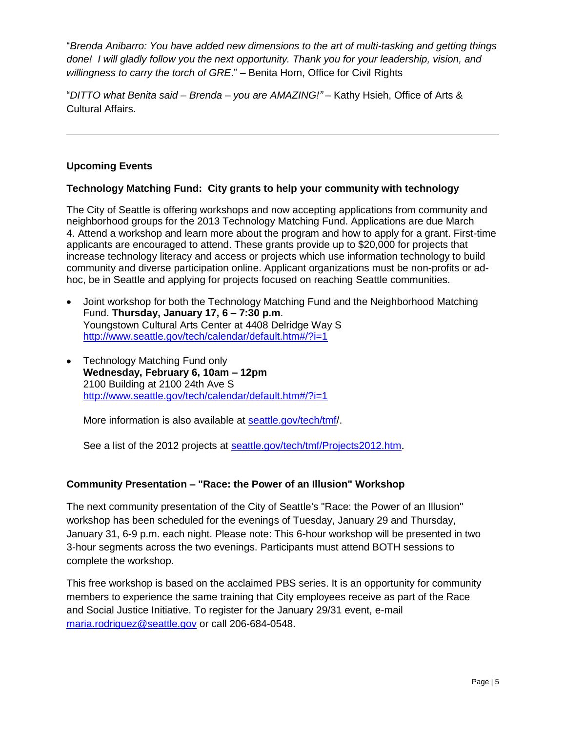"*Brenda Anibarro: You have added new dimensions to the art of multi-tasking and getting things done! I will gladly follow you the next opportunity. Thank you for your leadership, vision, and willingness to carry the torch of GRE*." – Benita Horn, Office for Civil Rights

"*DITTO what Benita said – Brenda – you are AMAZING!"* – Kathy Hsieh, Office of Arts & Cultural Affairs.

### **Upcoming Events**

### **Technology Matching Fund: City grants to help your community with technology**

The City of Seattle is offering workshops and now accepting applications from community and neighborhood groups for the 2013 Technology Matching Fund. Applications are due March 4. Attend a workshop and learn more about the program and how to apply for a grant. First-time applicants are encouraged to attend. These grants provide up to \$20,000 for projects that increase technology literacy and access or projects which use information technology to build community and diverse participation online. Applicant organizations must be non-profits or adhoc, be in Seattle and applying for projects focused on reaching Seattle communities.

- Joint workshop for both the Technology Matching Fund and the Neighborhood Matching Fund. **Thursday, January 17, 6 – 7:30 p.m**. Youngstown Cultural Arts Center at 4408 Delridge Way S <http://www.seattle.gov/tech/calendar/default.htm#/?i=1>
- Technology Matching Fund only **Wednesday, February 6, 10am – 12pm** 2100 Building at 2100 24th Ave S <http://www.seattle.gov/tech/calendar/default.htm#/?i=1>

More information is also available at [seattle.gov/tech/tmf/](http://seattle.gov/tech/tmf/).

See a list of the 2012 projects at [seattle.gov/tech/tmf/Projects2012.htm](http://seattle.gov/tech/tmf/Projects2012.htm).

### **Community Presentation – "Race: the Power of an Illusion" Workshop**

The next community presentation of the City of Seattle's "Race: the Power of an Illusion" workshop has been scheduled for the evenings of Tuesday, January 29 and Thursday, January 31, 6-9 p.m. each night. Please note: This 6-hour workshop will be presented in two 3-hour segments across the two evenings. Participants must attend BOTH sessions to complete the workshop.

This free workshop is based on the acclaimed PBS series. It is an opportunity for community members to experience the same training that City employees receive as part of the Race and Social Justice Initiative. To register for the January 29/31 event, e-mail [maria.rodriguez@seattle.gov](mailto:maria.rodriguez@seattle.gov) or call 206-684-0548.